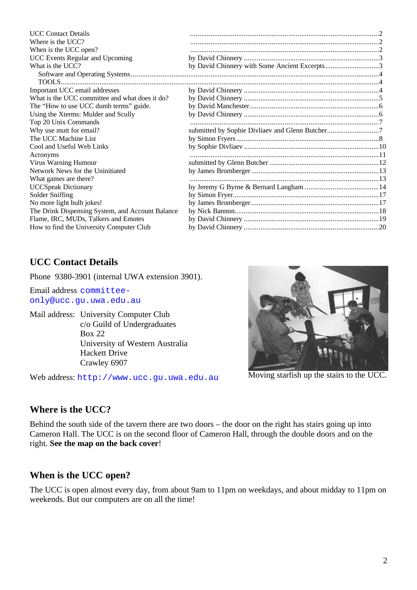| Where is the UCC?<br>When is the UCC open?<br>UCC Events Regular and Upcoming<br>What is the UCC?<br>Important UCC email addresses<br>What is the UCC committee and what does it do? |                                               |
|--------------------------------------------------------------------------------------------------------------------------------------------------------------------------------------|-----------------------------------------------|
|                                                                                                                                                                                      |                                               |
|                                                                                                                                                                                      |                                               |
|                                                                                                                                                                                      |                                               |
|                                                                                                                                                                                      | by David Chinnery with Some Ancient Excerpts3 |
|                                                                                                                                                                                      |                                               |
|                                                                                                                                                                                      |                                               |
|                                                                                                                                                                                      |                                               |
|                                                                                                                                                                                      |                                               |
| The "How to use UCC dumb terms" guide.                                                                                                                                               |                                               |
| Using the Xterms: Mulder and Scully                                                                                                                                                  |                                               |
| Top 20 Unix Commands                                                                                                                                                                 |                                               |
| Why use mutt for email?                                                                                                                                                              |                                               |
| The UCC Machine List                                                                                                                                                                 |                                               |
| Cool and Useful Web Links                                                                                                                                                            |                                               |
| Acronyms                                                                                                                                                                             |                                               |
| Virus Warning Humour                                                                                                                                                                 |                                               |
| Network News for the Uninitiated                                                                                                                                                     |                                               |
| What games are there?                                                                                                                                                                |                                               |
| <b>UCCSpeak Dictionary</b>                                                                                                                                                           |                                               |
| Solder Sniffing                                                                                                                                                                      |                                               |
| No more light bulb jokes!                                                                                                                                                            |                                               |
| The Drink Dispensing System, and Account Balance                                                                                                                                     |                                               |
| Flame, IRC, MUDs, Talkers and Emotes                                                                                                                                                 |                                               |
| How to find the University Computer Club                                                                                                                                             |                                               |

# **UCC Contact Details**

Phone 9380-3901 (internal UWA extension 3901).

Email address committeeonly@ucc.gu.uwa.edu.au

Mail address: University Computer Club c/o Guild of Undergraduates Box 22 University of Western Australia Hackett Drive Crawley 6907

Web address: http://www.ucc.gu.uwa.edu.au



Moving starfish up the stairs to the UCC.

# **Where is the UCC?**

Behind the south side of the tavern there are two doors – the door on the right has stairs going up into Cameron Hall. The UCC is on the second floor of Cameron Hall, through the double doors and on the right. **See the map on the back cover**!

# **When is the UCC open?**

The UCC is open almost every day, from about 9am to 11pm on weekdays, and about midday to 11pm on weekends. But our computers are on all the time!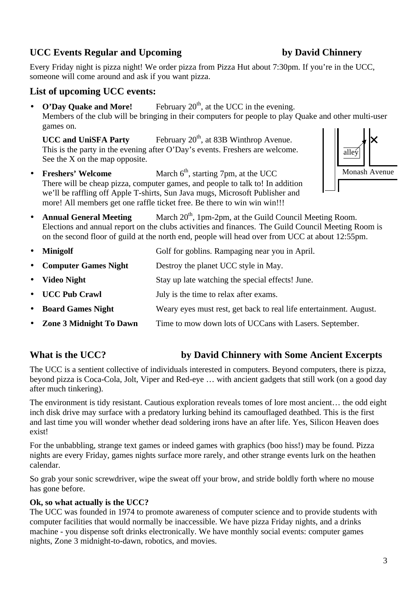# **UCC Events Regular and Upcoming by David Chinnery**

Every Friday night is pizza night! We order pizza from Pizza Hut about 7:30pm. If you're in the UCC, someone will come around and ask if you want pizza.

# **List of upcoming UCC events:**

• **O'Day Quake and More!** February 20<sup>th</sup>, at the UCC in the evening. Members of the club will be bringing in their computers for people to play Quake and other multi-user games on.

**UCC and UniSFA Party** February 20<sup>th</sup>, at 83B Winthrop Avenue. This is the party in the evening after O'Day's events. Freshers are welcome. See the X on the map opposite.

• **Freshers' Welcome** March 6<sup>th</sup>, starting 7pm, at the UCC There will be cheap pizza, computer games, and people to talk to! In addition we'll be raffling off Apple T-shirts, Sun Java mugs, Microsoft Publisher and more! All members get one raffle ticket free. Be there to win win win!!!



• **Annual General Meeting** March 20<sup>th</sup>, 1pm-2pm, at the Guild Council Meeting Room. Elections and annual report on the clubs activities and finances. The Guild Council Meeting Room is on the second floor of guild at the north end, people will head over from UCC at about 12:55pm.

| $\bullet$ | <b>Minigolf</b>           | Golf for goblins. Rampaging near you in April.                     |
|-----------|---------------------------|--------------------------------------------------------------------|
|           | • Computer Games Night    | Destroy the planet UCC style in May.                               |
|           | • Video Night             | Stay up late watching the special effects! June.                   |
|           | • UCC Pub Crawl           | July is the time to relax after exams.                             |
|           | • Board Games Night       | Weary eyes must rest, get back to real life entertainment. August. |
|           | • Zone 3 Midnight To Dawn | Time to mow down lots of UCCans with Lasers. September.            |

# **What is the UCC? by David Chinnery with Some Ancient Excerpts**

The UCC is a sentient collective of individuals interested in computers. Beyond computers, there is pizza, beyond pizza is Coca-Cola, Jolt, Viper and Red-eye … with ancient gadgets that still work (on a good day after much tinkering).

The environment is tidy resistant. Cautious exploration reveals tomes of lore most ancient… the odd eight inch disk drive may surface with a predatory lurking behind its camouflaged deathbed. This is the first and last time you will wonder whether dead soldering irons have an after life. Yes, Silicon Heaven does exist!

For the unbabbling, strange text games or indeed games with graphics (boo hiss!) may be found. Pizza nights are every Friday, games nights surface more rarely, and other strange events lurk on the heathen calendar.

So grab your sonic screwdriver, wipe the sweat off your brow, and stride boldly forth where no mouse has gone before.

## **Ok, so what actually is the UCC?**

The UCC was founded in 1974 to promote awareness of computer science and to provide students with computer facilities that would normally be inaccessible. We have pizza Friday nights, and a drinks machine - you dispense soft drinks electronically. We have monthly social events: computer games nights, Zone 3 midnight-to-dawn, robotics, and movies.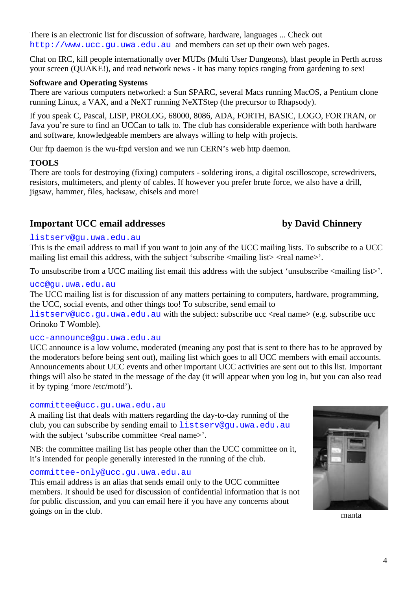There is an electronic list for discussion of software, hardware, languages ... Check out http://www.ucc.qu.uwa.edu.au and members can set up their own web pages.

Chat on IRC, kill people internationally over MUDs (Multi User Dungeons), blast people in Perth across your screen (QUAKE!), and read network news - it has many topics ranging from gardening to sex!

## **Software and Operating Systems**

There are various computers networked: a Sun SPARC, several Macs running MacOS, a Pentium clone running Linux, a VAX, and a NeXT running NeXTStep (the precursor to Rhapsody).

If you speak C, Pascal, LISP, PROLOG, 68000, 8086, ADA, FORTH, BASIC, LOGO, FORTRAN, or Java you're sure to find an UCCan to talk to. The club has considerable experience with both hardware and software, knowledgeable members are always willing to help with projects.

Our ftp daemon is the wu-ftpd version and we run CERN's web http daemon.

## **TOOLS**

There are tools for destroying (fixing) computers - soldering irons, a digital oscilloscope, screwdrivers, resistors, multimeters, and plenty of cables. If however you prefer brute force, we also have a drill, jigsaw, hammer, files, hacksaw, chisels and more!

## **Important UCC email addresses by David Chinnery**

## listserv@gu.uwa.edu.au

This is the email address to mail if you want to join any of the UCC mailing lists. To subscribe to a UCC mailing list email this address, with the subject 'subscribe  $\langle$  mailing list $\rangle$   $\langle$  real name $\rangle$ '.

To unsubscribe from a UCC mailing list email this address with the subject 'unsubscribe  $\langle$ mailing list $\rangle$ '.

## ucc@gu.uwa.edu.au

The UCC mailing list is for discussion of any matters pertaining to computers, hardware, programming, the UCC, social events, and other things too! To subscribe, send email to

listserv@ucc.gu.uwa.edu.au with the subject: subscribe ucc <real name> (e.g. subscribe ucc Orinoko T Womble).

## ucc-announce@gu.uwa.edu.au

UCC announce is a low volume, moderated (meaning any post that is sent to there has to be approved by the moderators before being sent out), mailing list which goes to all UCC members with email accounts. Announcements about UCC events and other important UCC activities are sent out to this list. Important things will also be stated in the message of the day (it will appear when you log in, but you can also read it by typing 'more /etc/motd').

## committee@ucc.gu.uwa.edu.au

A mailing list that deals with matters regarding the day-to-day running of the club, you can subscribe by sending email to listserv@gu.uwa.edu.au with the subject 'subscribe committee <real name>'.

NB: the committee mailing list has people other than the UCC committee on it, it's intended for people generally interested in the running of the club.

## committee-only@ucc.gu.uwa.edu.au

This email address is an alias that sends email only to the UCC committee members. It should be used for discussion of confidential information that is not for public discussion, and you can email here if you have any concerns about goings on in the club.



manta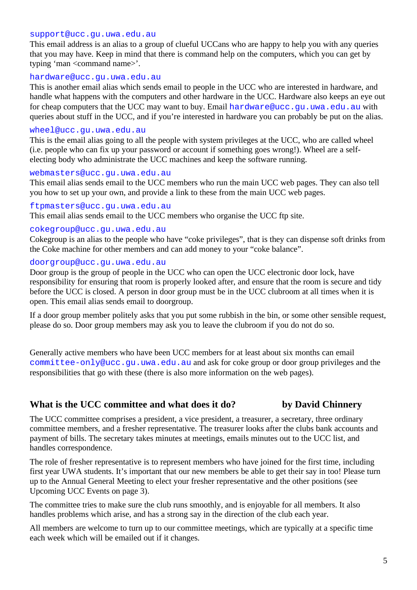## support@ucc.gu.uwa.edu.au

This email address is an alias to a group of clueful UCCans who are happy to help you with any queries that you may have. Keep in mind that there is command help on the computers, which you can get by typing 'man <command name>'.

### hardware@ucc.gu.uwa.edu.au

This is another email alias which sends email to people in the UCC who are interested in hardware, and handle what happens with the computers and other hardware in the UCC. Hardware also keeps an eye out for cheap computers that the UCC may want to buy. Email hardware@ucc.gu.uwa.edu.au with queries about stuff in the UCC, and if you're interested in hardware you can probably be put on the alias.

### wheel@ucc.gu.uwa.edu.au

This is the email alias going to all the people with system privileges at the UCC, who are called wheel (i.e. people who can fix up your password or account if something goes wrong!). Wheel are a selfelecting body who administrate the UCC machines and keep the software running.

## webmasters@ucc.gu.uwa.edu.au

This email alias sends email to the UCC members who run the main UCC web pages. They can also tell you how to set up your own, and provide a link to these from the main UCC web pages.

## ftpmasters@ucc.gu.uwa.edu.au

This email alias sends email to the UCC members who organise the UCC ftp site.

### cokegroup@ucc.gu.uwa.edu.au

Cokegroup is an alias to the people who have "coke privileges", that is they can dispense soft drinks from the Coke machine for other members and can add money to your "coke balance".

## doorgroup@ucc.gu.uwa.edu.au

Door group is the group of people in the UCC who can open the UCC electronic door lock, have responsibility for ensuring that room is properly looked after, and ensure that the room is secure and tidy before the UCC is closed. A person in door group must be in the UCC clubroom at all times when it is open. This email alias sends email to doorgroup.

If a door group member politely asks that you put some rubbish in the bin, or some other sensible request, please do so. Door group members may ask you to leave the clubroom if you do not do so.

Generally active members who have been UCC members for at least about six months can email committee-only@ucc.gu.uwa.edu.au and ask for coke group or door group privileges and the responsibilities that go with these (there is also more information on the web pages).

## **What is the UCC committee and what does it do? by David Chinnery**

The UCC committee comprises a president, a vice president, a treasurer, a secretary, three ordinary committee members, and a fresher representative. The treasurer looks after the clubs bank accounts and payment of bills. The secretary takes minutes at meetings, emails minutes out to the UCC list, and handles correspondence.

The role of fresher representative is to represent members who have joined for the first time, including first year UWA students. It's important that our new members be able to get their say in too! Please turn up to the Annual General Meeting to elect your fresher representative and the other positions (see Upcoming UCC Events on page 3).

The committee tries to make sure the club runs smoothly, and is enjoyable for all members. It also handles problems which arise, and has a strong say in the direction of the club each year.

All members are welcome to turn up to our committee meetings, which are typically at a specific time each week which will be emailed out if it changes.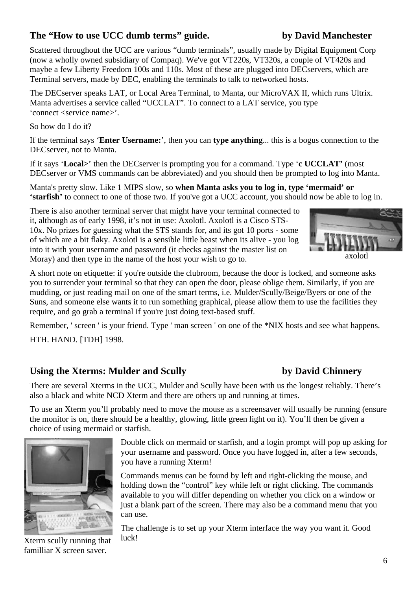# **The "How to use UCC dumb terms" guide. by David Manchester**

Scattered throughout the UCC are various "dumb terminals", usually made by Digital Equipment Corp (now a wholly owned subsidiary of Compaq). We've got VT220s, VT320s, a couple of VT420s and maybe a few Liberty Freedom 100s and 110s. Most of these are plugged into DECservers, which are Terminal servers, made by DEC, enabling the terminals to talk to networked hosts.

The DECserver speaks LAT, or Local Area Terminal, to Manta, our MicroVAX II, which runs Ultrix. Manta advertises a service called "UCCLAT". To connect to a LAT service, you type 'connect <service name>'.

So how do I do it?

If the terminal says '**Enter Username:**', then you can **type anything**... this is a bogus connection to the DECserver, not to Manta.

If it says '**Local>**' then the DECserver is prompting you for a command. Type '**c UCCLAT'** (most DECserver or VMS commands can be abbreviated) and you should then be prompted to log into Manta.

Manta's pretty slow. Like 1 MIPS slow, so **when Manta asks you to log in**, **type 'mermaid' or 'starfish'** to connect to one of those two. If you've got a UCC account, you should now be able to log in.

There is also another terminal server that might have your terminal connected to it, although as of early 1998, it's not in use: Axolotl. Axolotl is a Cisco STS-10x. No prizes for guessing what the STS stands for, and its got 10 ports - some of which are a bit flaky. Axolotl is a sensible little beast when its alive - you log into it with your username and password (it checks against the master list on Moray) and then type in the name of the host your wish to go to.



A short note on etiquette: if you're outside the clubroom, because the door is locked, and someone asks you to surrender your terminal so that they can open the door, please oblige them. Similarly, if you are mudding, or just reading mail on one of the smart terms, i.e. Mulder/Scully/Beige/Byers or one of the Suns, and someone else wants it to run something graphical, please allow them to use the facilities they require, and go grab a terminal if you're just doing text-based stuff.

Remember, ' screen ' is your friend. Type ' man screen ' on one of the \*NIX hosts and see what happens. HTH. HAND. [TDH] 1998.

# **Using the Xterms: Mulder and Scully by David Chinnery**

There are several Xterms in the UCC, Mulder and Scully have been with us the longest reliably. There's also a black and white NCD Xterm and there are others up and running at times.

To use an Xterm you'll probably need to move the mouse as a screensaver will usually be running (ensure the monitor is on, there should be a healthy, glowing, little green light on it). You'll then be given a choice of using mermaid or starfish.



Double click on mermaid or starfish, and a login prompt will pop up asking for your username and password. Once you have logged in, after a few seconds, you have a running Xterm!

Commands menus can be found by left and right-clicking the mouse, and holding down the "control" key while left or right clicking. The commands available to you will differ depending on whether you click on a window or just a blank part of the screen. There may also be a command menu that you can use.

Xterm scully running that familliar X screen saver.

The challenge is to set up your Xterm interface the way you want it. Good luck!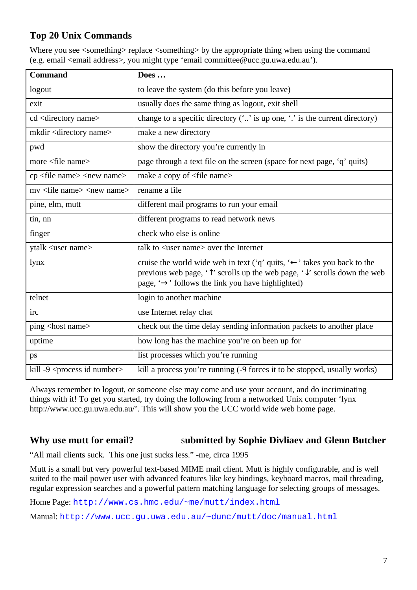# **Top 20 Unix Commands**

Where you see  $\leq$ something> replace  $\leq$ something> by the appropriate thing when using the command (e.g. email <email address>, you might type 'email committee@ucc.gu.uwa.edu.au').

| <b>Command</b>                                 | Does                                                                                                                                                                                                                                                           |
|------------------------------------------------|----------------------------------------------------------------------------------------------------------------------------------------------------------------------------------------------------------------------------------------------------------------|
| logout                                         | to leave the system (do this before you leave)                                                                                                                                                                                                                 |
| exit                                           | usually does the same thing as logout, exit shell                                                                                                                                                                                                              |
| cd <directory name=""></directory>             | change to a specific directory $(\cdot \cdot \cdot)$ is up one, $\cdot \cdot$ is the current directory)                                                                                                                                                        |
| mkdir <directory name=""></directory>          | make a new directory                                                                                                                                                                                                                                           |
| pwd                                            | show the directory you're currently in                                                                                                                                                                                                                         |
| more <file name=""></file>                     | page through a text file on the screen (space for next page, 'q' quits)                                                                                                                                                                                        |
| $cp$ <file name=""> <new name=""></new></file> | make a copy of <file name=""></file>                                                                                                                                                                                                                           |
| my <file name=""> <new name=""></new></file>   | rename a file                                                                                                                                                                                                                                                  |
| pine, elm, mutt                                | different mail programs to run your email                                                                                                                                                                                                                      |
| tin, nn                                        | different programs to read network news                                                                                                                                                                                                                        |
| finger                                         | check who else is online                                                                                                                                                                                                                                       |
| ytalk <user name=""></user>                    | talk to <user name=""> over the Internet</user>                                                                                                                                                                                                                |
| lynx                                           | cruise the world wide web in text ('q' quits, ' $\leftarrow$ ' takes you back to the<br>previous web page, $\hat{\mathcal{T}}$ scrolls up the web page, $\hat{\mathcal{T}}$ scrolls down the web<br>page, $\rightarrow$ follows the link you have highlighted) |
| telnet                                         | login to another machine                                                                                                                                                                                                                                       |
| irc                                            | use Internet relay chat                                                                                                                                                                                                                                        |
| ping <host name=""></host>                     | check out the time delay sending information packets to another place                                                                                                                                                                                          |
| uptime                                         | how long has the machine you're on been up for                                                                                                                                                                                                                 |
| ps                                             | list processes which you're running                                                                                                                                                                                                                            |
| kill -9 <process id="" number=""></process>    | kill a process you're running (-9 forces it to be stopped, usually works)                                                                                                                                                                                      |

Always remember to logout, or someone else may come and use your account, and do incriminating things with it! To get you started, try doing the following from a networked Unix computer 'lynx http://www.ucc.gu.uwa.edu.au/'. This will show you the UCC world wide web home page.

## **Why use mutt for email?** s**ubmitted by Sophie Divliaev and Glenn Butcher**

"All mail clients suck. This one just sucks less." -me, circa 1995

Mutt is a small but very powerful text-based MIME mail client. Mutt is highly configurable, and is well suited to the mail power user with advanced features like key bindings, keyboard macros, mail threading, regular expression searches and a powerful pattern matching language for selecting groups of messages.

Home Page: http://www.cs.hmc.edu/~me/mutt/index.html

Manual: http://www.ucc.gu.uwa.edu.au/~dunc/mutt/doc/manual.html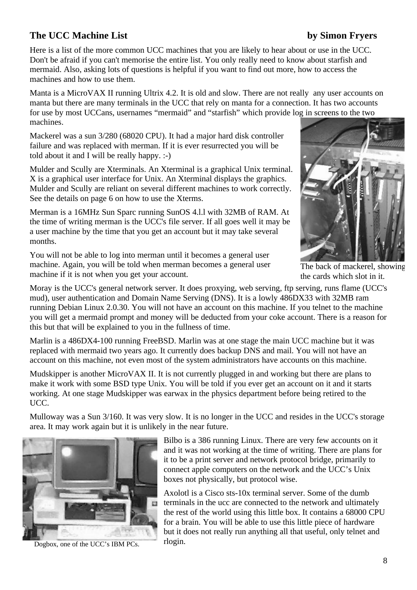# **The UCC Machine List** by Simon Fryers

Here is a list of the more common UCC machines that you are likely to hear about or use in the UCC. Don't be afraid if you can't memorise the entire list. You only really need to know about starfish and mermaid. Also, asking lots of questions is helpful if you want to find out more, how to access the machines and how to use them.

Manta is a MicroVAX II running Ultrix 4.2. It is old and slow. There are not really any user accounts on manta but there are many terminals in the UCC that rely on manta for a connection. It has two accounts for use by most UCCans, usernames "mermaid" and "starfish" which provide log in screens to the two machines.

Mackerel was a sun 3/280 (68020 CPU). It had a major hard disk controller failure and was replaced with merman. If it is ever resurrected you will be told about it and I will be really happy. :-)

Mulder and Scully are Xterminals. An Xterminal is a graphical Unix terminal. X is a graphical user interface for Unix. An Xterminal displays the graphics. Mulder and Scully are reliant on several different machines to work correctly. See the details on page 6 on how to use the Xterms.

Merman is a 16MHz Sun Sparc running SunOS 4.l.l with 32MB of RAM. At the time of writing merman is the UCC's file server. If all goes well it may be a user machine by the time that you get an account but it may take several months.

You will not be able to log into merman until it becomes a general user machine. Again, you will be told when merman becomes a general user machine if it is not when you get your account.



The back of mackerel, showing the cards which slot in it.

Moray is the UCC's general network server. It does proxying, web serving, ftp serving, runs flame (UCC's mud), user authentication and Domain Name Serving (DNS). It is a lowly 486DX33 with 32MB ram running Debian Linux 2.0.30. You will not have an account on this machine. If you telnet to the machine you will get a mermaid prompt and money will be deducted from your coke account. There is a reason for this but that will be explained to you in the fullness of time.

Marlin is a 486DX4-100 running FreeBSD. Marlin was at one stage the main UCC machine but it was replaced with mermaid two years ago. It currently does backup DNS and mail. You will not have an account on this machine, not even most of the system administrators have accounts on this machine.

Mudskipper is another MicroVAX II. It is not currently plugged in and working but there are plans to make it work with some BSD type Unix. You will be told if you ever get an account on it and it starts working. At one stage Mudskipper was earwax in the physics department before being retired to the UCC.

Mulloway was a Sun 3/160. It was very slow. It is no longer in the UCC and resides in the UCC's storage area. It may work again but it is unlikely in the near future.



Dogbox, one of the UCC's IBM PCs.

Bilbo is a 386 running Linux. There are very few accounts on it and it was not working at the time of writing. There are plans for it to be a print server and network protocol bridge, primarily to connect apple computers on the network and the UCC's Unix boxes not physically, but protocol wise.

Axolotl is a Cisco sts-10x terminal server. Some of the dumb terminals in the ucc are connected to the network and ultimately the rest of the world using this little box. It contains a 68000 CPU for a brain. You will be able to use this little piece of hardware but it does not really run anything all that useful, only telnet and rlogin.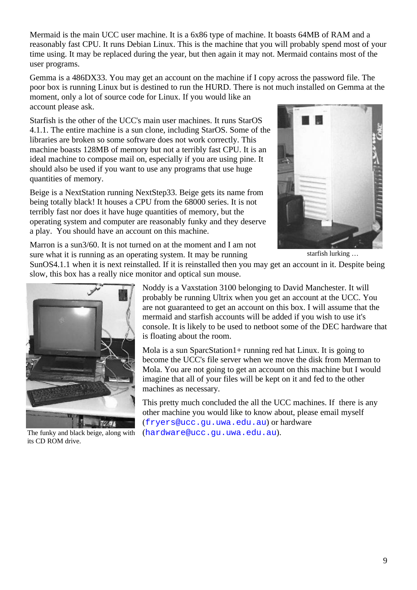Mermaid is the main UCC user machine. It is a 6x86 type of machine. It boasts 64MB of RAM and a reasonably fast CPU. It runs Debian Linux. This is the machine that you will probably spend most of your time using. It may be replaced during the year, but then again it may not. Mermaid contains most of the user programs.

Gemma is a 486DX33. You may get an account on the machine if I copy across the password file. The poor box is running Linux but is destined to run the HURD. There is not much installed on Gemma at the moment, only a lot of source code for Linux. If you would like an account please ask.

Starfish is the other of the UCC's main user machines. It runs StarOS 4.1.1. The entire machine is a sun clone, including StarOS. Some of the libraries are broken so some software does not work correctly. This machine boasts 128MB of memory but not a terribly fast CPU. It is an ideal machine to compose mail on, especially if you are using pine. It should also be used if you want to use any programs that use huge quantities of memory.

Beige is a NextStation running NextStep33. Beige gets its name from being totally black! It houses a CPU from the 68000 series. It is not terribly fast nor does it have huge quantities of memory, but the operating system and computer are reasonably funky and they deserve a play. You should have an account on this machine.



starfish lurking …

Marron is a sun3/60. It is not turned on at the moment and I am not sure what it is running as an operating system. It may be running

SunOS4.1.1 when it is next reinstalled. If it is reinstalled then you may get an account in it. Despite being slow, this box has a really nice monitor and optical sun mouse.



The funky and black beige, along with its CD ROM drive.

Noddy is a Vaxstation 3100 belonging to David Manchester. It will probably be running Ultrix when you get an account at the UCC. You are not guaranteed to get an account on this box. I will assume that the mermaid and starfish accounts will be added if you wish to use it's console. It is likely to be used to netboot some of the DEC hardware that is floating about the room.

Mola is a sun SparcStation1+ running red hat Linux. It is going to become the UCC's file server when we move the disk from Merman to Mola. You are not going to get an account on this machine but I would imagine that all of your files will be kept on it and fed to the other machines as necessary.

This pretty much concluded the all the UCC machines. If there is any other machine you would like to know about, please email myself (fryers@ucc.gu.uwa.edu.au) or hardware (hardware@ucc.gu.uwa.edu.au).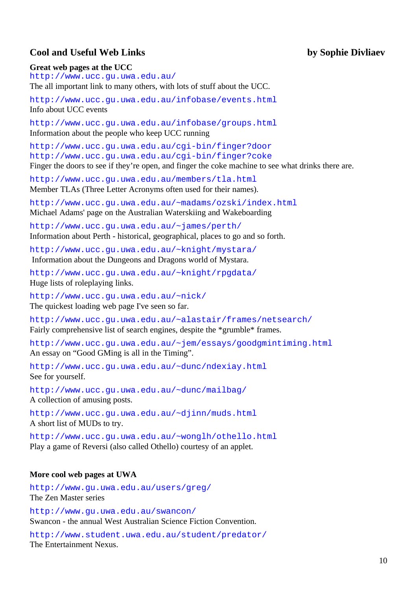## **Cool and Useful Web Links by Sophie Divliaev**

## **Great web pages at the UCC**

http://www.ucc.gu.uwa.edu.au/ The all important link to many others, with lots of stuff about the UCC.

http://www.ucc.gu.uwa.edu.au/infobase/events.html Info about UCC events

http://www.ucc.gu.uwa.edu.au/infobase/groups.html Information about the people who keep UCC running

http://www.ucc.gu.uwa.edu.au/cgi-bin/finger?door http://www.ucc.gu.uwa.edu.au/cgi-bin/finger?coke Finger the doors to see if they're open, and finger the coke machine to see what drinks there are.

http://www.ucc.gu.uwa.edu.au/members/tla.html Member TLAs (Three Letter Acronyms often used for their names).

http://www.ucc.gu.uwa.edu.au/~madams/ozski/index.html Michael Adams' page on the Australian Waterskiing and Wakeboarding

http://www.ucc.gu.uwa.edu.au/~james/perth/ Information about Perth - historical, geographical, places to go and so forth.

http://www.ucc.gu.uwa.edu.au/~knight/mystara/ Information about the Dungeons and Dragons world of Mystara.

http://www.ucc.gu.uwa.edu.au/~knight/rpgdata/ Huge lists of roleplaying links.

http://www.ucc.gu.uwa.edu.au/~nick/ The quickest loading web page I've seen so far.

http://www.ucc.gu.uwa.edu.au/~alastair/frames/netsearch/ Fairly comprehensive list of search engines, despite the \*grumble\* frames.

http://www.ucc.gu.uwa.edu.au/~jem/essays/goodgmintiming.html An essay on "Good GMing is all in the Timing".

http://www.ucc.gu.uwa.edu.au/~dunc/ndexiay.html See for yourself.

http://www.ucc.gu.uwa.edu.au/~dunc/mailbag/ A collection of amusing posts.

http://www.ucc.gu.uwa.edu.au/~djinn/muds.html A short list of MUDs to try.

http://www.ucc.gu.uwa.edu.au/~wonglh/othello.html Play a game of Reversi (also called Othello) courtesy of an applet.

## **More cool web pages at UWA**

http://www.gu.uwa.edu.au/users/greg/ The Zen Master series

http://www.gu.uwa.edu.au/swancon/ Swancon - the annual West Australian Science Fiction Convention.

http://www.student.uwa.edu.au/student/predator/ The Entertainment Nexus.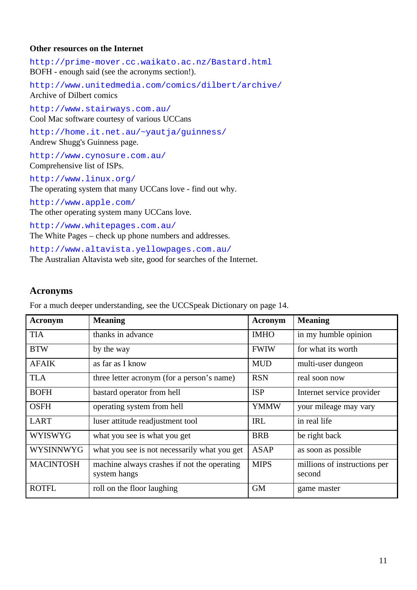## **Other resources on the Internet**

http://prime-mover.cc.waikato.ac.nz/Bastard.html BOFH - enough said (see the acronyms section!).

http://www.unitedmedia.com/comics/dilbert/archive/ Archive of Dilbert comics

http://www.stairways.com.au/ Cool Mac software courtesy of various UCCans

http://home.it.net.au/~yautja/guinness/ Andrew Shugg's Guinness page.

http://www.cynosure.com.au/ Comprehensive list of ISPs.

http://www.linux.org/ The operating system that many UCCans love - find out why.

http://www.apple.com/ The other operating system many UCCans love.

http://www.whitepages.com.au/ The White Pages – check up phone numbers and addresses.

http://www.altavista.yellowpages.com.au/ The Australian Altavista web site, good for searches of the Internet.

## **Acronyms**

For a much deeper understanding, see the UCCSpeak Dictionary on page 14.

| <b>Acronym</b>   | <b>Meaning</b>                                              | <b>Acronym</b> | <b>Meaning</b>                         |
|------------------|-------------------------------------------------------------|----------------|----------------------------------------|
| <b>TIA</b>       | thanks in advance                                           | <b>IMHO</b>    | in my humble opinion                   |
| <b>BTW</b>       | by the way                                                  | <b>FWIW</b>    | for what its worth                     |
| <b>AFAIK</b>     | as far as I know                                            | <b>MUD</b>     | multi-user dungeon                     |
| <b>TLA</b>       | three letter acronym (for a person's name)                  | <b>RSN</b>     | real soon now                          |
| <b>BOFH</b>      | bastard operator from hell                                  | <b>ISP</b>     | Internet service provider              |
| <b>OSFH</b>      | operating system from hell                                  | <b>YMMW</b>    | your mileage may vary                  |
| <b>LART</b>      | luser attitude readjustment tool                            | <b>IRL</b>     | in real life                           |
| <b>WYISWYG</b>   | what you see is what you get                                | <b>BRB</b>     | be right back                          |
| <b>WYSINNWYG</b> | what you see is not necessarily what you get                | <b>ASAP</b>    | as soon as possible                    |
| <b>MACINTOSH</b> | machine always crashes if not the operating<br>system hangs | <b>MIPS</b>    | millions of instructions per<br>second |
| <b>ROTFL</b>     | roll on the floor laughing                                  | <b>GM</b>      | game master                            |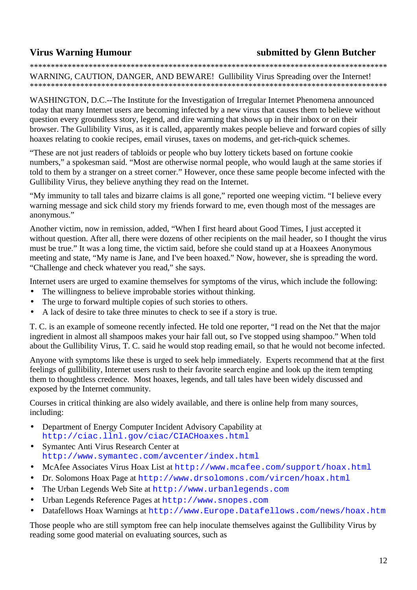# **Virus Warning Humour submitted by Glenn Butcher**

\*\*\*\*\*\*\*\*\*\*\*\*\*\*\*\*\*\*\*\*\*\*\*\*\*\*\*\*\*\*\*\*\*\*\*\*\*\*\*\*\*\*\*\*\*\*\*\*\*\*\*\*\*\*\*\*\*\*\*\*\*\*\*\*\*\*\*\*\*\*\*\*\*\*\*\*\*\*\*\*\*\*\*\*\*

WARNING, CAUTION, DANGER, AND BEWARE! Gullibility Virus Spreading over the Internet! \*\*\*\*\*\*\*\*\*\*\*\*\*\*\*\*\*\*\*\*\*\*\*\*\*\*\*\*\*\*\*\*\*\*\*\*\*\*\*\*\*\*\*\*\*\*\*\*\*\*\*\*\*\*\*\*\*\*\*\*\*\*\*\*\*\*\*\*\*\*\*\*\*\*\*\*\*\*\*\*\*\*\*\*\*

WASHINGTON, D.C.--The Institute for the Investigation of Irregular Internet Phenomena announced today that many Internet users are becoming infected by a new virus that causes them to believe without question every groundless story, legend, and dire warning that shows up in their inbox or on their browser. The Gullibility Virus, as it is called, apparently makes people believe and forward copies of silly hoaxes relating to cookie recipes, email viruses, taxes on modems, and get-rich-quick schemes.

"These are not just readers of tabloids or people who buy lottery tickets based on fortune cookie numbers," a spokesman said. "Most are otherwise normal people, who would laugh at the same stories if told to them by a stranger on a street corner." However, once these same people become infected with the Gullibility Virus, they believe anything they read on the Internet.

"My immunity to tall tales and bizarre claims is all gone," reported one weeping victim. "I believe every warning message and sick child story my friends forward to me, even though most of the messages are anonymous."

Another victim, now in remission, added, "When I first heard about Good Times, I just accepted it without question. After all, there were dozens of other recipients on the mail header, so I thought the virus must be true." It was a long time, the victim said, before she could stand up at a Hoaxees Anonymous meeting and state, "My name is Jane, and I've been hoaxed." Now, however, she is spreading the word. "Challenge and check whatever you read," she says.

Internet users are urged to examine themselves for symptoms of the virus, which include the following:

- The willingness to believe improbable stories without thinking.
- The urge to forward multiple copies of such stories to others.
- A lack of desire to take three minutes to check to see if a story is true.

T. C. is an example of someone recently infected. He told one reporter, "I read on the Net that the major ingredient in almost all shampoos makes your hair fall out, so I've stopped using shampoo." When told about the Gullibility Virus, T. C. said he would stop reading email, so that he would not become infected.

Anyone with symptoms like these is urged to seek help immediately. Experts recommend that at the first feelings of gullibility, Internet users rush to their favorite search engine and look up the item tempting them to thoughtless credence. Most hoaxes, legends, and tall tales have been widely discussed and exposed by the Internet community.

Courses in critical thinking are also widely available, and there is online help from many sources, including:

- Department of Energy Computer Incident Advisory Capability at http://ciac.llnl.gov/ciac/CIACHoaxes.html
- Symantec Anti Virus Research Center at http://www.symantec.com/avcenter/index.html
- McAfee Associates Virus Hoax List at http://www.mcafee.com/support/hoax.html
- Dr. Solomons Hoax Page at http://www.drsolomons.com/vircen/hoax.html
- The Urban Legends Web Site at http://www.urbanlegends.com
- Urban Legends Reference Pages at http://www.snopes.com
- Datafellows Hoax Warnings at http://www.Europe.Datafellows.com/news/hoax.htm

Those people who are still symptom free can help inoculate themselves against the Gullibility Virus by reading some good material on evaluating sources, such as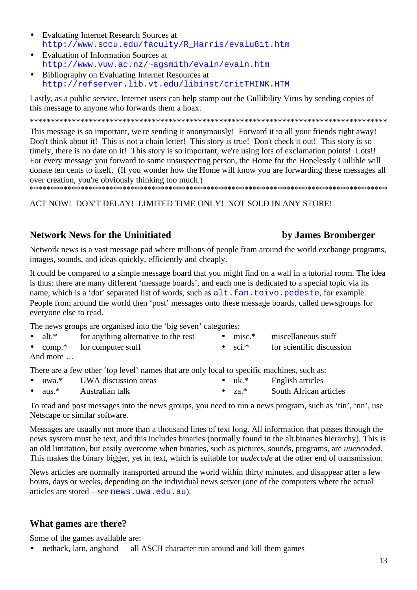- Evaluating Internet Research Sources at http://www.sccu.edu/faculty/R\_Harris/evalu8it.htm
- Evaluation of Information Sources at http://www.vuw.ac.nz/~agsmith/evaln/evaln.htm
- Bibliography on Evaluating Internet Resources at http://refserver.lib.vt.edu/libinst/critTHINK.HTM

Lastly, as a public service, Internet users can help stamp out the Gullibility Virus by sending copies of this message to anyone who forwards them a hoax.

\*\*\*\*\*\*\*\*\*\*\*\*\*\*\*\*\*\*\*\*\*\*\*\*\*\*\*\*\*\*\*\*\*\*\*\*\*\*\*\*\*\*\*\*\*\*\*\*\*\*\*\*\*\*\*\*\*\*\*\*\*\*\*\*\*\*\*\*\*\*\*\*\*\*\*\*\*\*\*\*\*\*\*\*\*

This message is so important, we're sending it anonymously! Forward it to all your friends right away! Don't think about it! This is not a chain letter! This story is true! Don't check it out! This story is so timely, there is no date on it! This story is so important, we're using lots of exclamation points! Lots!! For every message you forward to some unsuspecting person, the Home for the Hopelessly Gullible will donate ten cents to itself. (If you wonder how the Home will know you are forwarding these messages all over creation, you're obviously thinking too much.)

\*\*\*\*\*\*\*\*\*\*\*\*\*\*\*\*\*\*\*\*\*\*\*\*\*\*\*\*\*\*\*\*\*\*\*\*\*\*\*\*\*\*\*\*\*\*\*\*\*\*\*\*\*\*\*\*\*\*\*\*\*\*\*\*\*\*\*\*\*\*\*\*\*\*\*\*\*\*\*\*\*\*\*\*\*

ACT NOW! DON'T DELAY! LIMITED TIME ONLY! NOT SOLD IN ANY STORE!

# **Network News for the Uninitiated by James Bromberger**

Network news is a vast message pad where millions of people from around the world exchange programs, images, sounds, and ideas quickly, efficiently and cheaply.

It could be compared to a simple message board that you might find on a wall in a tutorial room. The idea is thus: there are many different 'message boards', and each one is dedicated to a special topic via its name, which is a 'dot' separated list of words, such as  $alt$ . fan.toivo.pedeste, for example. People from around the world then 'post' messages onto these message boards, called newsgroups for everyone else to read.

The news groups are organised into the 'big seven' categories:

| $\bullet$ alt.* | for anything alternative to the rest |                 | $\bullet$ misc.* miscellaneous stuff |
|-----------------|--------------------------------------|-----------------|--------------------------------------|
|                 | • comp.* for computer stuff          | $\bullet$ sci.* | for scientific discussion            |
| And more        |                                      |                 |                                      |

There are a few other 'top level' names that are only local to specific machines, such as:

- uwa.<sup>\*</sup> UWA discussion areas • uk.\* English articles
- aus.<sup>\*</sup> Australian talk • za.\* South African articles

To read and post messages into the news groups, you need to run a news program, such as 'tin', 'nn', use Netscape or similar software.

Messages are usually not more than a thousand lines of text long. All information that passes through the news system must be text, and this includes binaries (normally found in the alt.binaries hierarchy). This is an old limitation, but easily overcome when binaries, such as pictures, sounds, programs, are *uuencoded*. This makes the binary bigger, yet in text, which is suitable for *uudecode* at the other end of transmission.

News articles are normally transported around the world within thirty minutes, and disappear after a few hours, days or weeks, depending on the individual news server (one of the computers where the actual articles are stored – see news.uwa.edu.au).

# **What games are there?**

Some of the games available are:

• nethack, larn, angband all ASCII character run around and kill them games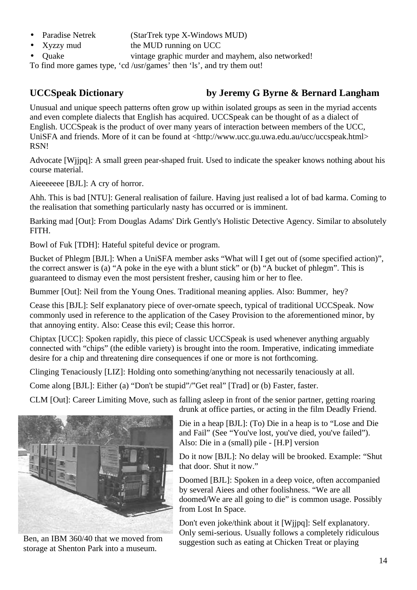- Paradise Netrek (StarTrek type X-Windows MUD)
- Xyzzy mud the MUD running on UCC
- Quake vintage graphic murder and mayhem, also networked!

To find more games type, 'cd /usr/games' then 'ls', and try them out!

# **UCCSpeak Dictionary by Jeremy G Byrne & Bernard Langham**

Unusual and unique speech patterns often grow up within isolated groups as seen in the myriad accents and even complete dialects that English has acquired. UCCSpeak can be thought of as a dialect of English. UCCSpeak is the product of over many years of interaction between members of the UCC, UniSFA and friends. More of it can be found at <http://www.ucc.gu.uwa.edu.au/ucc/uccspeak.html> RSN!

Advocate [Wjjpq]: A small green pear-shaped fruit. Used to indicate the speaker knows nothing about his course material.

Aieeeeeee [BJL]: A cry of horror.

Ahh. This is bad [NTU]: General realisation of failure. Having just realised a lot of bad karma. Coming to the realisation that something particularly nasty has occurred or is imminent.

Barking mad [Out]: From Douglas Adams' Dirk Gently's Holistic Detective Agency. Similar to absolutely FITH.

Bowl of Fuk [TDH]: Hateful spiteful device or program.

Bucket of Phlegm [BJL]: When a UniSFA member asks "What will I get out of (some specified action)", the correct answer is (a) "A poke in the eye with a blunt stick" or (b) "A bucket of phlegm". This is guaranteed to dismay even the most persistent fresher, causing him or her to flee.

Bummer [Out]: Neil from the Young Ones. Traditional meaning applies. Also: Bummer, hey?

Cease this [BJL]: Self explanatory piece of over-ornate speech, typical of traditional UCCSpeak. Now commonly used in reference to the application of the Casey Provision to the aforementioned minor, by that annoying entity. Also: Cease this evil; Cease this horror.

Chiptax [UCC]: Spoken rapidly, this piece of classic UCCSpeak is used whenever anything arguably connected with "chips" (the edible variety) is brought into the room. Imperative, indicating immediate desire for a chip and threatening dire consequences if one or more is not forthcoming.

Clinging Tenaciously [LIZ]: Holding onto something/anything not necessarily tenaciously at all.

Come along [BJL]: Either (a) "Don't be stupid"/"Get real" [Trad] or (b) Faster, faster.

CLM [Out]: Career Limiting Move, such as falling asleep in front of the senior partner, getting roaring



Ben, an IBM 360/40 that we moved from storage at Shenton Park into a museum.

drunk at office parties, or acting in the film Deadly Friend.

Die in a heap [BJL]: (To) Die in a heap is to "Lose and Die and Fail" (See "You've lost, you've died, you've failed"). Also: Die in a (small) pile - [H.P] version

Do it now [BJL]: No delay will be brooked. Example: "Shut that door. Shut it now."

Doomed [BJL]: Spoken in a deep voice, often accompanied by several Aiees and other foolishness. "We are all doomed/We are all going to die" is common usage. Possibly from Lost In Space.

Don't even joke/think about it [Wjjpq]: Self explanatory. Only semi-serious. Usually follows a completely ridiculous suggestion such as eating at Chicken Treat or playing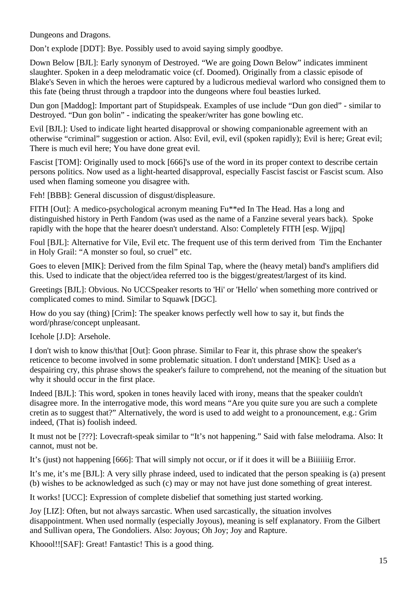Dungeons and Dragons.

Don't explode [DDT]: Bye. Possibly used to avoid saying simply goodbye.

Down Below [BJL]: Early synonym of Destroyed. "We are going Down Below" indicates imminent slaughter. Spoken in a deep melodramatic voice (cf. Doomed). Originally from a classic episode of Blake's Seven in which the heroes were captured by a ludicrous medieval warlord who consigned them to this fate (being thrust through a trapdoor into the dungeons where foul beasties lurked.

Dun gon [Maddog]: Important part of Stupidspeak. Examples of use include "Dun gon died" - similar to Destroyed. "Dun gon bolin" - indicating the speaker/writer has gone bowling etc.

Evil [BJL]: Used to indicate light hearted disapproval or showing companionable agreement with an otherwise "criminal" suggestion or action. Also: Evil, evil, evil (spoken rapidly); Evil is here; Great evil; There is much evil here; You have done great evil.

Fascist [TOM]: Originally used to mock [666]'s use of the word in its proper context to describe certain persons politics. Now used as a light-hearted disapproval, especially Fascist fascist or Fascist scum. Also used when flaming someone you disagree with.

Feh! [BBB]: General discussion of disgust/displeasure.

FITH [Out]: A medico-psychological acronym meaning Fu\*\*ed In The Head. Has a long and distinguished history in Perth Fandom (was used as the name of a Fanzine several years back). Spoke rapidly with the hope that the hearer doesn't understand. Also: Completely FITH [esp. Wjjpq]

Foul [BJL]: Alternative for Vile, Evil etc. The frequent use of this term derived from Tim the Enchanter in Holy Grail: "A monster so foul, so cruel" etc.

Goes to eleven [MIK]: Derived from the film Spinal Tap, where the (heavy metal) band's amplifiers did this. Used to indicate that the object/idea referred too is the biggest/greatest/largest of its kind.

Greetings [BJL]: Obvious. No UCCSpeaker resorts to 'Hi' or 'Hello' when something more contrived or complicated comes to mind. Similar to Squawk [DGC].

How do you say (thing) [Crim]: The speaker knows perfectly well how to say it, but finds the word/phrase/concept unpleasant.

Icehole [J.D]: Arsehole.

I don't wish to know this/that [Out]: Goon phrase. Similar to Fear it, this phrase show the speaker's reticence to become involved in some problematic situation. I don't understand [MIK]: Used as a despairing cry, this phrase shows the speaker's failure to comprehend, not the meaning of the situation but why it should occur in the first place.

Indeed [BJL]: This word, spoken in tones heavily laced with irony, means that the speaker couldn't disagree more. In the interrogative mode, this word means "Are you quite sure you are such a complete cretin as to suggest that?" Alternatively, the word is used to add weight to a pronouncement, e.g.: Grim indeed, (That is) foolish indeed.

It must not be [???]: Lovecraft-speak similar to "It's not happening." Said with false melodrama. Also: It cannot, must not be.

It's (just) not happening [666]: That will simply not occur, or if it does it will be a Biiiiiiig Error.

It's me, it's me [BJL]: A very silly phrase indeed, used to indicated that the person speaking is (a) present (b) wishes to be acknowledged as such (c) may or may not have just done something of great interest.

It works! [UCC]: Expression of complete disbelief that something just started working.

Joy [LIZ]: Often, but not always sarcastic. When used sarcastically, the situation involves disappointment. When used normally (especially Joyous), meaning is self explanatory. From the Gilbert and Sullivan opera, The Gondoliers. Also: Joyous; Oh Joy; Joy and Rapture.

Khoool!![SAF]: Great! Fantastic! This is a good thing.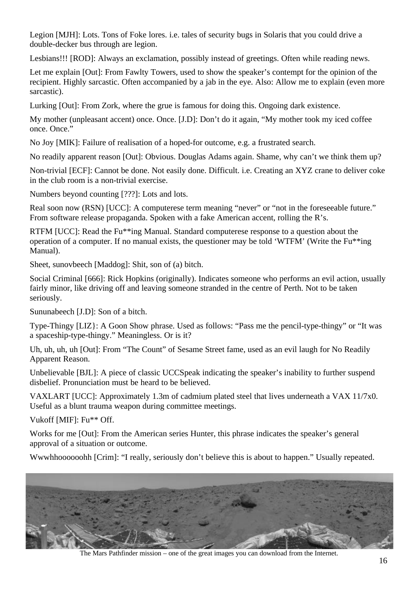Legion [MJH]: Lots. Tons of Foke lores. i.e. tales of security bugs in Solaris that you could drive a double-decker bus through are legion.

Lesbians!!! [ROD]: Always an exclamation, possibly instead of greetings. Often while reading news.

Let me explain [Out]: From Fawlty Towers, used to show the speaker's contempt for the opinion of the recipient. Highly sarcastic. Often accompanied by a jab in the eye. Also: Allow me to explain (even more sarcastic).

Lurking [Out]: From Zork, where the grue is famous for doing this. Ongoing dark existence.

My mother (unpleasant accent) once. Once. [J.D]: Don't do it again, "My mother took my iced coffee once. Once."

No Joy [MIK]: Failure of realisation of a hoped-for outcome, e.g. a frustrated search.

No readily apparent reason [Out]: Obvious. Douglas Adams again. Shame, why can't we think them up?

Non-trivial [ECF]: Cannot be done. Not easily done. Difficult. i.e. Creating an XYZ crane to deliver coke in the club room is a non-trivial exercise.

Numbers beyond counting [???]: Lots and lots.

Real soon now (RSN) [UCC]: A computerese term meaning "never" or "not in the foreseeable future." From software release propaganda. Spoken with a fake American accent, rolling the R's.

RTFM [UCC]: Read the Fu\*\*ing Manual. Standard computerese response to a question about the operation of a computer. If no manual exists, the questioner may be told 'WTFM' (Write the Fu\*\*ing Manual).

Sheet, sunovbeech [Maddog]: Shit, son of (a) bitch.

Social Criminal [666]: Rick Hopkins (originally). Indicates someone who performs an evil action, usually fairly minor, like driving off and leaving someone stranded in the centre of Perth. Not to be taken seriously.

Sununabeech [J.D]: Son of a bitch.

Type-Thingy [LIZ}: A Goon Show phrase. Used as follows: "Pass me the pencil-type-thingy" or "It was a spaceship-type-thingy." Meaningless. Or is it?

Uh, uh, uh, uh [Out]: From "The Count" of Sesame Street fame, used as an evil laugh for No Readily Apparent Reason.

Unbelievable [BJL]: A piece of classic UCCSpeak indicating the speaker's inability to further suspend disbelief. Pronunciation must be heard to be believed.

VAXLART [UCC]: Approximately 1.3m of cadmium plated steel that lives underneath a VAX 11/7x0. Useful as a blunt trauma weapon during committee meetings.

Vukoff [MIF]: Fu\*\* Off.

Works for me [Out]: From the American series Hunter, this phrase indicates the speaker's general approval of a situation or outcome.

Wwwhhoooooohh [Crim]: "I really, seriously don't believe this is about to happen." Usually repeated.



The Mars Pathfinder mission – one of the great images you can download from the Internet.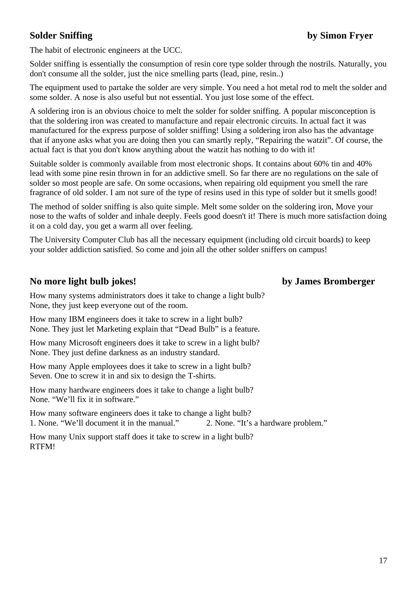The habit of electronic engineers at the UCC.

Solder sniffing is essentially the consumption of resin core type solder through the nostrils. Naturally, you don't consume all the solder, just the nice smelling parts (lead, pine, resin..)

The equipment used to partake the solder are very simple. You need a hot metal rod to melt the solder and some solder. A nose is also useful but not essential. You just lose some of the effect.

A soldering iron is an obvious choice to melt the solder for solder sniffing. A popular misconception is that the soldering iron was created to manufacture and repair electronic circuits. In actual fact it was manufactured for the express purpose of solder sniffing! Using a soldering iron also has the advantage that if anyone asks what you are doing then you can smartly reply, "Repairing the watzit". Of course, the actual fact is that you don't know anything about the watzit has nothing to do with it!

Suitable solder is commonly available from most electronic shops. It contains about 60% tin and 40% lead with some pine resin thrown in for an addictive smell. So far there are no regulations on the sale of solder so most people are safe. On some occasions, when repairing old equipment you smell the rare fragrance of old solder. I am not sure of the type of resins used in this type of solder but it smells good!

The method of solder sniffing is also quite simple. Melt some solder on the soldering iron, Move your nose to the wafts of solder and inhale deeply. Feels good doesn't it! There is much more satisfaction doing it on a cold day, you get a warm all over feeling.

The University Computer Club has all the necessary equipment (including old circuit boards) to keep your solder addiction satisfied. So come and join all the other solder sniffers on campus!

# **No more light bulb jokes! by James Bromberger**

How many systems administrators does it take to change a light bulb? None, they just keep everyone out of the room.

How many IBM engineers does it take to screw in a light bulb? None. They just let Marketing explain that "Dead Bulb" is a feature.

How many Microsoft engineers does it take to screw in a light bulb? None. They just define darkness as an industry standard.

How many Apple employees does it take to screw in a light bulb? Seven. One to screw it in and six to design the T-shirts.

How many hardware engineers does it take to change a light bulb? None. "We'll fix it in software."

How many software engineers does it take to change a light bulb? 1. None. "We'll document it in the manual." 2. None. "It's a hardware problem."

How many Unix support staff does it take to screw in a light bulb? RTFM!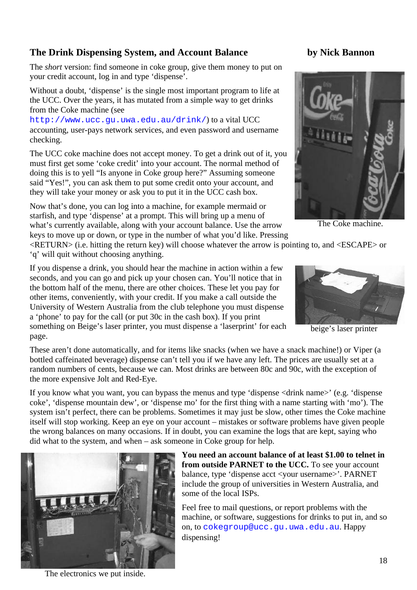# **The Drink Dispensing System, and Account Balance by Nick Bannon**

The *short* version: find someone in coke group, give them money to put on your credit account, log in and type 'dispense'.

Without a doubt, 'dispense' is the single most important program to life at the UCC. Over the years, it has mutated from a simple way to get drinks from the Coke machine (see

http://www.ucc.gu.uwa.edu.au/drink/) to a vital UCC accounting, user-pays network services, and even password and username checking.

The UCC coke machine does not accept money. To get a drink out of it, you must first get some 'coke credit' into your account. The normal method of doing this is to yell "Is anyone in Coke group here?" Assuming someone said "Yes!", you can ask them to put some credit onto your account, and they will take your money or ask you to put it in the UCC cash box.

Now that's done, you can log into a machine, for example mermaid or starfish, and type 'dispense' at a prompt. This will bring up a menu of what's currently available, along with your account balance. Use the arrow keys to move up or down, or type in the number of what you'd like. Pressing



The Coke machine.

<RETURN> (i.e. hitting the return key) will choose whatever the arrow is pointing to, and <ESCAPE> or 'q' will quit without choosing anything.

If you dispense a drink, you should hear the machine in action within a few seconds, and you can go and pick up your chosen can. You'll notice that in the bottom half of the menu, there are other choices. These let you pay for other items, conveniently, with your credit. If you make a call outside the University of Western Australia from the club telephone you must dispense a 'phone' to pay for the call (or put 30c in the cash box). If you print something on Beige's laser printer, you must dispense a 'laserprint' for each page.



beige's laser printer

These aren't done automatically, and for items like snacks (when we have a snack machine!) or Viper (a bottled caffeinated beverage) dispense can't tell you if we have any left. The prices are usually set at a random numbers of cents, because we can. Most drinks are between 80c and 90c, with the exception of the more expensive Jolt and Red-Eye.

If you know what you want, you can bypass the menus and type 'dispense <drink name>' (e.g. 'dispense coke', 'dispense mountain dew', or 'dispense mo' for the first thing with a name starting with 'mo'). The system isn't perfect, there can be problems. Sometimes it may just be slow, other times the Coke machine itself will stop working. Keep an eye on your account – mistakes or software problems have given people the wrong balances on many occasions. If in doubt, you can examine the logs that are kept, saying who did what to the system, and when – ask someone in Coke group for help.



**You need an account balance of at least \$1.00 to telnet in from outside PARNET to the UCC.** To see your account balance, type 'dispense acct <your username>'. PARNET include the group of universities in Western Australia, and some of the local ISPs.

Feel free to mail questions, or report problems with the machine, or software, suggestions for drinks to put in, and so on, to cokegroup@ucc.gu.uwa.edu.au. Happy dispensing!

The electronics we put inside.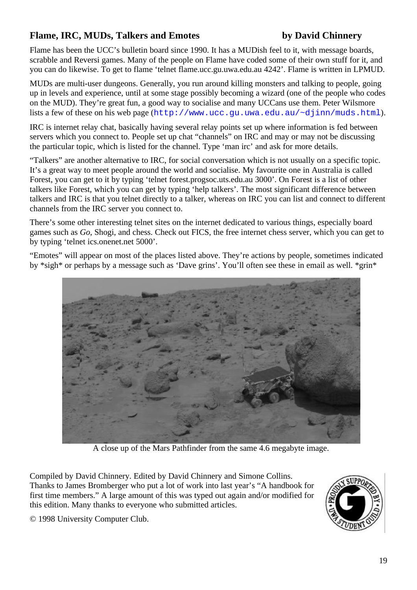# **Flame, IRC, MUDs, Talkers and Emotes by David Chinnery**

Flame has been the UCC's bulletin board since 1990. It has a MUDish feel to it, with message boards, scrabble and Reversi games. Many of the people on Flame have coded some of their own stuff for it, and you can do likewise. To get to flame 'telnet flame.ucc.gu.uwa.edu.au 4242'. Flame is written in LPMUD.

MUDs are multi-user dungeons. Generally, you run around killing monsters and talking to people, going up in levels and experience, until at some stage possibly becoming a wizard (one of the people who codes on the MUD). They're great fun, a good way to socialise and many UCCans use them. Peter Wilsmore lists a few of these on his web page (http://www.ucc.gu.uwa.edu.au/~djinn/muds.html).

IRC is internet relay chat, basically having several relay points set up where information is fed between servers which you connect to. People set up chat "channels" on IRC and may or may not be discussing the particular topic, which is listed for the channel. Type 'man irc' and ask for more details.

"Talkers" are another alternative to IRC, for social conversation which is not usually on a specific topic. It's a great way to meet people around the world and socialise. My favourite one in Australia is called Forest, you can get to it by typing 'telnet forest.progsoc.uts.edu.au 3000'. On Forest is a list of other talkers like Forest, which you can get by typing 'help talkers'. The most significant difference between talkers and IRC is that you telnet directly to a talker, whereas on IRC you can list and connect to different channels from the IRC server you connect to.

There's some other interesting telnet sites on the internet dedicated to various things, especially board games such as *Go*, Shogi, and chess. Check out FICS, the free internet chess server, which you can get to by typing 'telnet ics.onenet.net 5000'.

"Emotes" will appear on most of the places listed above. They're actions by people, sometimes indicated by \*sigh\* or perhaps by a message such as 'Dave grins'. You'll often see these in email as well. \*grin\*



A close up of the Mars Pathfinder from the same 4.6 megabyte image.

Compiled by David Chinnery. Edited by David Chinnery and Simone Collins. Thanks to James Bromberger who put a lot of work into last year's "A handbook for first time members." A large amount of this was typed out again and/or modified for this edition. Many thanks to everyone who submitted articles.

© 1998 University Computer Club.